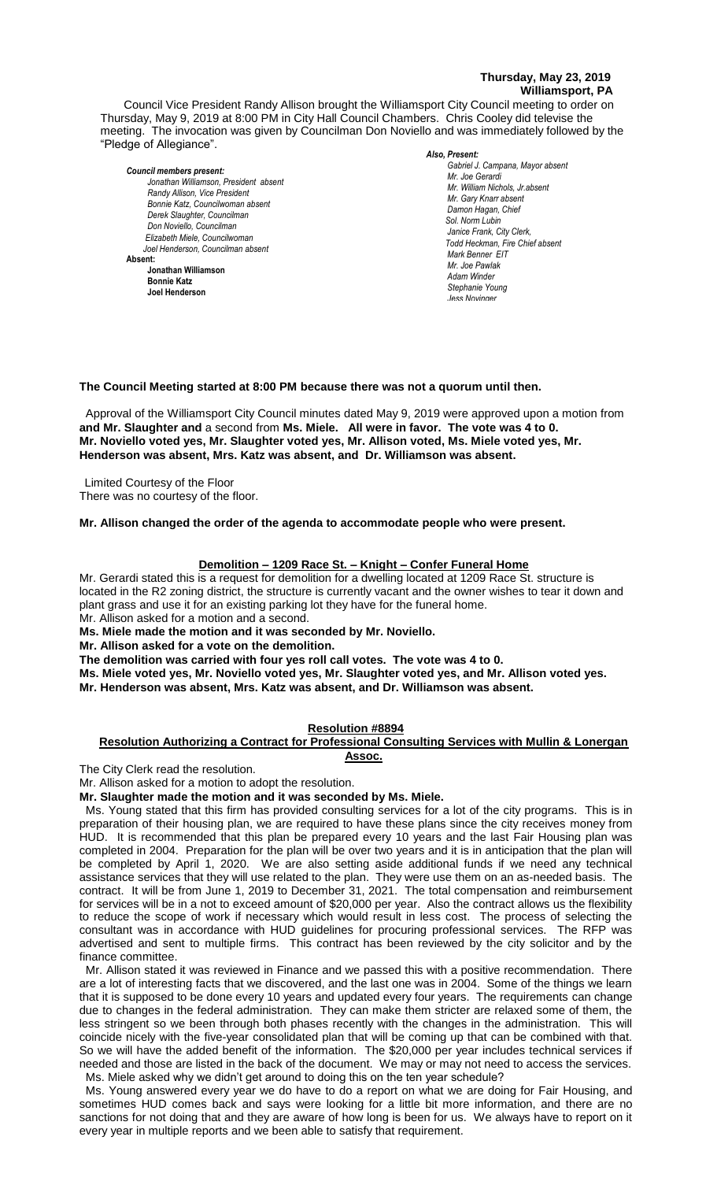#### **Thursday, May 23, 2019 Williamsport, PA**

Council Vice President Randy Allison brought the Williamsport City Council meeting to order on Thursday, May 9, 2019 at 8:00 PM in City Hall Council Chambers. Chris Cooley did televise the meeting. The invocation was given by Councilman Don Noviello and was immediately followed by the "Pledge of Allegiance".

*Council members present: Jonathan Williamson, President absent* **Randy Allison, Vice President** *Bonnie Katz, Councilwoman absent Derek Slaughter, Councilman Don Noviello, Councilman Elizabeth Miele, Councilwoman Joel Henderson, Councilman absent* **Absent: Jonathan Williamson Bonnie Katz Joel Henderson**

#### *Also, Present:*

*Gabriel J. Campana, Mayor absent Mr. William Nichols, Jr. Mr. Joe Gerardi Mr. Joseph Pawlak Mr. William Nichols, Jr.absent Mr. Joe Pawlak Mr. Gary Knarr absent Damon Hagan, Chief Sol. Norm Lubin Janice Frank, City Clerk, Todd Heckman, Fire Chief absent* **Adam Winder** *Adam Winder Adam Winder <b>Adam Winder 2004 Mark Benner EIT Mr. Joe Pawlak Adam Winder Stephanie Young Jess Novinger*

#### **The Council Meeting started at 8:00 PM because there was not a quorum until then.** a quorum un

Approval of the Williamsport City Council minutes dated May 9, 2019 were approved upon a motion from **and Mr. Slaughter and** a second from **Ms. Miele. All were in favor. The vote was 4 to 0.**  *Sol. J. David Smith* **Mr. Noviello voted yes, Mr. Slaughter voted yes, Mr. Allison voted, Ms. Miele voted yes, Mr.**  *Todd Heckman, Fire Chief ,*  **Henderson was absent, Mrs. Katz was absent, and Dr. Williamson was absent.** *Janice Frank, City Clerk, absent*

Limited Courtesy of the Floor There was no courtesy of the floor.

Mr. Allison changed the order of the agenda to accommodate people who were present.<br>

#### **Demolition – 1209 Race St. – Knight – Confer Funeral Home**

Mr. Gerardi stated this is a request for demolition for a dwelling located at 1209 Race St. structure is located in the R2 zoning district, the structure is currently vacant and the owner wishes to tear it down and plant grass and use it for an existing parking lot they have for the funeral home. Mr. Allison asked for a motion and a second.

**Ms. Miele made the motion and it was seconded by Mr. Noviello.**

**Mr. Allison asked for a vote on the demolition.**

**The demolition was carried with four yes roll call votes. The vote was 4 to 0.**

**Ms. Miele voted yes, Mr. Noviello voted yes, Mr. Slaughter voted yes, and Mr. Allison voted yes. Mr. Henderson was absent, Mrs. Katz was absent, and Dr. Williamson was absent.** 

#### **Resolution #8894**

#### **Resolution Authorizing a Contract for Professional Consulting Services with Mullin & Lonergan Assoc.**

The City Clerk read the resolution.

Mr. Allison asked for a motion to adopt the resolution.

## **Mr. Slaughter made the motion and it was seconded by Ms. Miele.**

 Ms. Young stated that this firm has provided consulting services for a lot of the city programs. This is in preparation of their housing plan, we are required to have these plans since the city receives money from HUD. It is recommended that this plan be prepared every 10 years and the last Fair Housing plan was completed in 2004. Preparation for the plan will be over two years and it is in anticipation that the plan will be completed by April 1, 2020. We are also setting aside additional funds if we need any technical assistance services that they will use related to the plan. They were use them on an as-needed basis. The contract. It will be from June 1, 2019 to December 31, 2021. The total compensation and reimbursement for services will be in a not to exceed amount of \$20,000 per year. Also the contract allows us the flexibility to reduce the scope of work if necessary which would result in less cost. The process of selecting the consultant was in accordance with HUD guidelines for procuring professional services. The RFP was advertised and sent to multiple firms. This contract has been reviewed by the city solicitor and by the finance committee.

 Mr. Allison stated it was reviewed in Finance and we passed this with a positive recommendation. There are a lot of interesting facts that we discovered, and the last one was in 2004. Some of the things we learn that it is supposed to be done every 10 years and updated every four years. The requirements can change due to changes in the federal administration. They can make them stricter are relaxed some of them, the less stringent so we been through both phases recently with the changes in the administration. This will coincide nicely with the five-year consolidated plan that will be coming up that can be combined with that. So we will have the added benefit of the information. The \$20,000 per year includes technical services if needed and those are listed in the back of the document. We may or may not need to access the services. Ms. Miele asked why we didn't get around to doing this on the ten year schedule?

 Ms. Young answered every year we do have to do a report on what we are doing for Fair Housing, and sometimes HUD comes back and says were looking for a little bit more information, and there are no sanctions for not doing that and they are aware of how long is been for us. We always have to report on it every year in multiple reports and we been able to satisfy that requirement.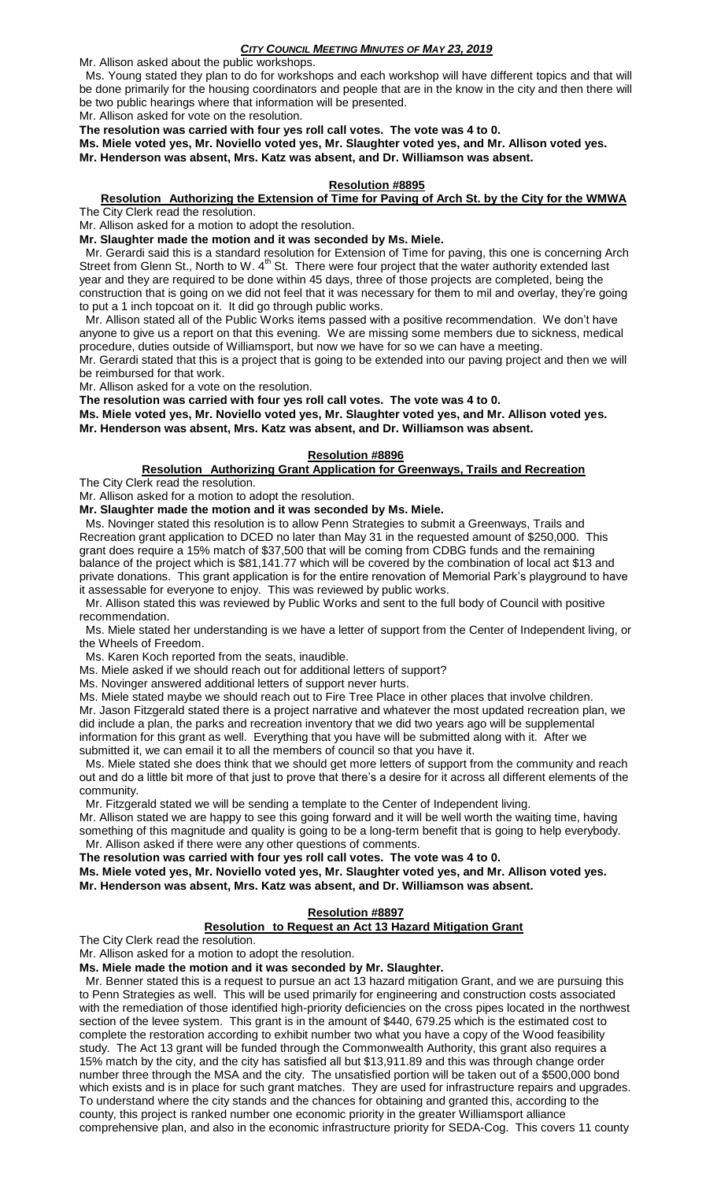### *CITY COUNCIL MEETING MINUTES OF MAY 23, 2019*

Mr. Allison asked about the public workshops.

 Ms. Young stated they plan to do for workshops and each workshop will have different topics and that will be done primarily for the housing coordinators and people that are in the know in the city and then there will be two public hearings where that information will be presented.

Mr. Allison asked for vote on the resolution.

**The resolution was carried with four yes roll call votes. The vote was 4 to 0.**

**Ms. Miele voted yes, Mr. Noviello voted yes, Mr. Slaughter voted yes, and Mr. Allison voted yes.** 

**Mr. Henderson was absent, Mrs. Katz was absent, and Dr. Williamson was absent.** 

## **Resolution #8895**

#### **Resolution Authorizing the Extension of Time for Paving of Arch St. by the City for the WMWA** The City Clerk read the resolution.

Mr. Allison asked for a motion to adopt the resolution.

**Mr. Slaughter made the motion and it was seconded by Ms. Miele.**

 Mr. Gerardi said this is a standard resolution for Extension of Time for paving, this one is concerning Arch Street from Glenn St., North to W. 4<sup>th</sup> St. There were four project that the water authority extended last year and they are required to be done within 45 days, three of those projects are completed, being the construction that is going on we did not feel that it was necessary for them to mil and overlay, they're going to put a 1 inch topcoat on it. It did go through public works.

 Mr. Allison stated all of the Public Works items passed with a positive recommendation. We don't have anyone to give us a report on that this evening. We are missing some members due to sickness, medical procedure, duties outside of Williamsport, but now we have for so we can have a meeting.

Mr. Gerardi stated that this is a project that is going to be extended into our paving project and then we will be reimbursed for that work.

Mr. Allison asked for a vote on the resolution.

**The resolution was carried with four yes roll call votes. The vote was 4 to 0.**

**Ms. Miele voted yes, Mr. Noviello voted yes, Mr. Slaughter voted yes, and Mr. Allison voted yes. Mr. Henderson was absent, Mrs. Katz was absent, and Dr. Williamson was absent.** 

## **Resolution #8896**

#### **Resolution Authorizing Grant Application for Greenways, Trails and Recreation** The City Clerk read the resolution.

Mr. Allison asked for a motion to adopt the resolution.

**Mr. Slaughter made the motion and it was seconded by Ms. Miele.**

 Ms. Novinger stated this resolution is to allow Penn Strategies to submit a Greenways, Trails and Recreation grant application to DCED no later than May 31 in the requested amount of \$250,000. This grant does require a 15% match of \$37,500 that will be coming from CDBG funds and the remaining balance of the project which is \$81,141.77 which will be covered by the combination of local act \$13 and private donations. This grant application is for the entire renovation of Memorial Park's playground to have it assessable for everyone to enjoy. This was reviewed by public works.

 Mr. Allison stated this was reviewed by Public Works and sent to the full body of Council with positive recommendation.

 Ms. Miele stated her understanding is we have a letter of support from the Center of Independent living, or the Wheels of Freedom.

Ms. Karen Koch reported from the seats, inaudible.

Ms. Miele asked if we should reach out for additional letters of support?

Ms. Novinger answered additional letters of support never hurts.

Ms. Miele stated maybe we should reach out to Fire Tree Place in other places that involve children. Mr. Jason Fitzgerald stated there is a project narrative and whatever the most updated recreation plan, we did include a plan, the parks and recreation inventory that we did two years ago will be supplemental information for this grant as well. Everything that you have will be submitted along with it. After we submitted it, we can email it to all the members of council so that you have it.

 Ms. Miele stated she does think that we should get more letters of support from the community and reach out and do a little bit more of that just to prove that there's a desire for it across all different elements of the community.

Mr. Fitzgerald stated we will be sending a template to the Center of Independent living.

Mr. Allison stated we are happy to see this going forward and it will be well worth the waiting time, having something of this magnitude and quality is going to be a long-term benefit that is going to help everybody. Mr. Allison asked if there were any other questions of comments.

**The resolution was carried with four yes roll call votes. The vote was 4 to 0.**

**Ms. Miele voted yes, Mr. Noviello voted yes, Mr. Slaughter voted yes, and Mr. Allison voted yes. Mr. Henderson was absent, Mrs. Katz was absent, and Dr. Williamson was absent.** 

## **Resolution #8897**

# **Resolution to Request an Act 13 Hazard Mitigation Grant**

The City Clerk read the resolution.

Mr. Allison asked for a motion to adopt the resolution.

**Ms. Miele made the motion and it was seconded by Mr. Slaughter.**

 Mr. Benner stated this is a request to pursue an act 13 hazard mitigation Grant, and we are pursuing this to Penn Strategies as well. This will be used primarily for engineering and construction costs associated with the remediation of those identified high-priority deficiencies on the cross pipes located in the northwest section of the levee system. This grant is in the amount of \$440, 679.25 which is the estimated cost to complete the restoration according to exhibit number two what you have a copy of the Wood feasibility study. The Act 13 grant will be funded through the Commonwealth Authority, this grant also requires a 15% match by the city, and the city has satisfied all but \$13,911.89 and this was through change order number three through the MSA and the city. The unsatisfied portion will be taken out of a \$500,000 bond which exists and is in place for such grant matches. They are used for infrastructure repairs and upgrades. To understand where the city stands and the chances for obtaining and granted this, according to the county, this project is ranked number one economic priority in the greater Williamsport alliance comprehensive plan, and also in the economic infrastructure priority for SEDA-Cog. This covers 11 county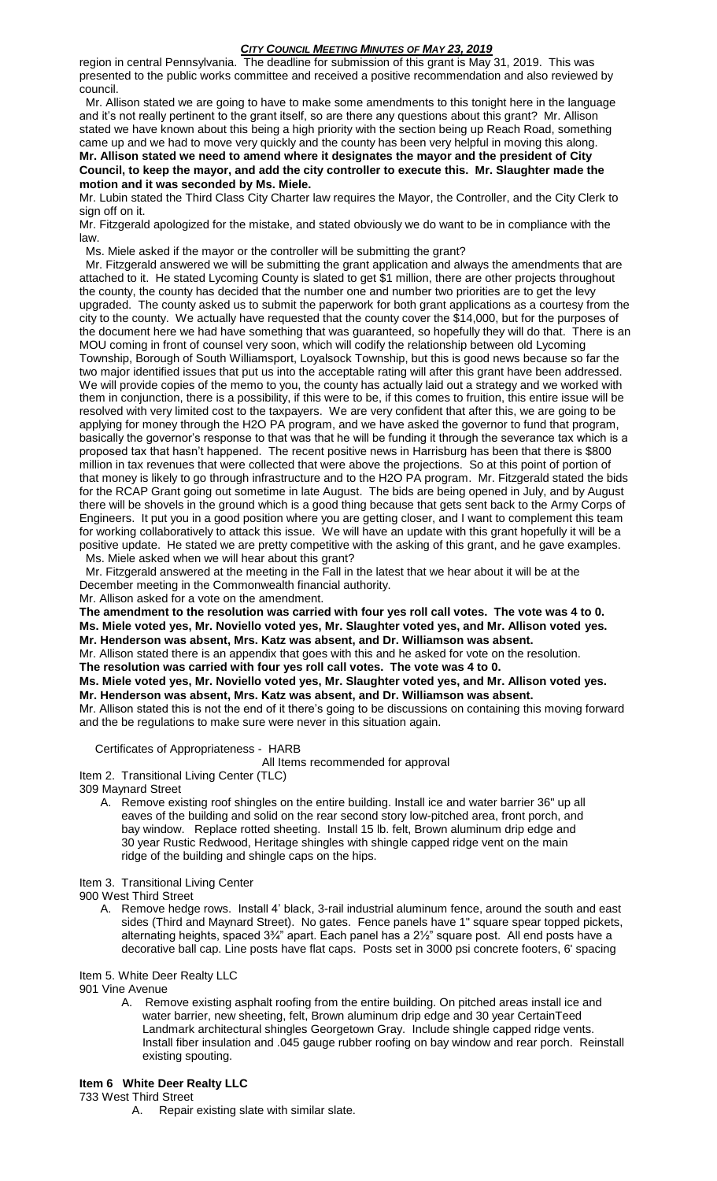### *CITY COUNCIL MEETING MINUTES OF MAY 23, 2019*

region in central Pennsylvania. The deadline for submission of this grant is May 31, 2019. This was presented to the public works committee and received a positive recommendation and also reviewed by council.

 Mr. Allison stated we are going to have to make some amendments to this tonight here in the language and it's not really pertinent to the grant itself, so are there any questions about this grant? Mr. Allison stated we have known about this being a high priority with the section being up Reach Road, something came up and we had to move very quickly and the county has been very helpful in moving this along.

**Mr. Allison stated we need to amend where it designates the mayor and the president of City Council, to keep the mayor, and add the city controller to execute this. Mr. Slaughter made the motion and it was seconded by Ms. Miele.**

Mr. Lubin stated the Third Class City Charter law requires the Mayor, the Controller, and the City Clerk to sign off on it.

Mr. Fitzgerald apologized for the mistake, and stated obviously we do want to be in compliance with the law.

Ms. Miele asked if the mayor or the controller will be submitting the grant?

 Mr. Fitzgerald answered we will be submitting the grant application and always the amendments that are attached to it. He stated Lycoming County is slated to get \$1 million, there are other projects throughout the county, the county has decided that the number one and number two priorities are to get the levy upgraded. The county asked us to submit the paperwork for both grant applications as a courtesy from the city to the county. We actually have requested that the county cover the \$14,000, but for the purposes of the document here we had have something that was guaranteed, so hopefully they will do that. There is an MOU coming in front of counsel very soon, which will codify the relationship between old Lycoming Township, Borough of South Williamsport, Loyalsock Township, but this is good news because so far the two major identified issues that put us into the acceptable rating will after this grant have been addressed. We will provide copies of the memo to you, the county has actually laid out a strategy and we worked with them in conjunction, there is a possibility, if this were to be, if this comes to fruition, this entire issue will be resolved with very limited cost to the taxpayers. We are very confident that after this, we are going to be applying for money through the H2O PA program, and we have asked the governor to fund that program, basically the governor's response to that was that he will be funding it through the severance tax which is a proposed tax that hasn't happened. The recent positive news in Harrisburg has been that there is \$800 million in tax revenues that were collected that were above the projections. So at this point of portion of that money is likely to go through infrastructure and to the H2O PA program. Mr. Fitzgerald stated the bids for the RCAP Grant going out sometime in late August. The bids are being opened in July, and by August there will be shovels in the ground which is a good thing because that gets sent back to the Army Corps of Engineers. It put you in a good position where you are getting closer, and I want to complement this team for working collaboratively to attack this issue. We will have an update with this grant hopefully it will be a positive update. He stated we are pretty competitive with the asking of this grant, and he gave examples. Ms. Miele asked when we will hear about this grant?

 Mr. Fitzgerald answered at the meeting in the Fall in the latest that we hear about it will be at the December meeting in the Commonwealth financial authority.

Mr. Allison asked for a vote on the amendment.

**The amendment to the resolution was carried with four yes roll call votes. The vote was 4 to 0. Ms. Miele voted yes, Mr. Noviello voted yes, Mr. Slaughter voted yes, and Mr. Allison voted yes. Mr. Henderson was absent, Mrs. Katz was absent, and Dr. Williamson was absent.** 

Mr. Allison stated there is an appendix that goes with this and he asked for vote on the resolution.

**The resolution was carried with four yes roll call votes. The vote was 4 to 0.**

**Ms. Miele voted yes, Mr. Noviello voted yes, Mr. Slaughter voted yes, and Mr. Allison voted yes. Mr. Henderson was absent, Mrs. Katz was absent, and Dr. Williamson was absent.** 

Mr. Allison stated this is not the end of it there's going to be discussions on containing this moving forward and the be regulations to make sure were never in this situation again.

Certificates of Appropriateness - HARB

All Items recommended for approval

Item 2. Transitional Living Center (TLC)

309 Maynard Street

A. Remove existing roof shingles on the entire building. Install ice and water barrier 36" up all eaves of the building and solid on the rear second story low-pitched area, front porch, and bay window. Replace rotted sheeting. Install 15 lb. felt, Brown aluminum drip edge and 30 year Rustic Redwood, Heritage shingles with shingle capped ridge vent on the main ridge of the building and shingle caps on the hips.

Item 3. Transitional Living Center

900 West Third Street

A. Remove hedge rows. Install 4' black, 3-rail industrial aluminum fence, around the south and east sides (Third and Maynard Street). No gates. Fence panels have 1" square spear topped pickets, alternating heights, spaced 3¾" apart. Each panel has a 2½" square post. All end posts have a decorative ball cap. Line posts have flat caps. Posts set in 3000 psi concrete footers, 6' spacing

Item 5. White Deer Realty LLC

901 Vine Avenue

- A. Remove existing asphalt roofing from the entire building. On pitched areas install ice and water barrier, new sheeting, felt, Brown aluminum drip edge and 30 year CertainTeed Landmark architectural shingles Georgetown Gray. Include shingle capped ridge vents. Install fiber insulation and .045 gauge rubber roofing on bay window and rear porch. Reinstall existing spouting.
- **Item 6 White Deer Realty LLC**

733 West Third Street

A. Repair existing slate with similar slate.